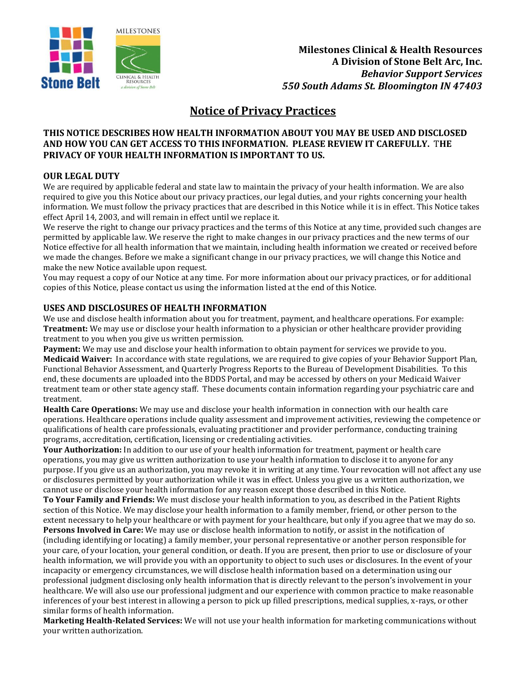

# **Notice of Privacy Practices**

## **THIS NOTICE DESCRIBES HOW HEALTH INFORMATION ABOUT YOU MAY BE USED AND DISCLOSED AND HOW YOU CAN GET ACCESS TO THIS INFORMATION. PLEASE REVIEW IT CAREFULLY.** T**HE PRIVACY OF YOUR HEALTH INFORMATION IS IMPORTANT TO US.**

## **OUR LEGAL DUTY**

We are required by applicable federal and state law to maintain the privacy of your health information. We are also required to give you this Notice about our privacy practices, our legal duties, and your rights concerning your health information. We must follow the privacy practices that are described in this Notice while it is in effect. This Notice takes effect April 14, 2003, and will remain in effect until we replace it.

We reserve the right to change our privacy practices and the terms of this Notice at any time, provided such changes are permitted by applicable law. We reserve the right to make changes in our privacy practices and the new terms of our Notice effective for all health information that we maintain, including health information we created or received before we made the changes. Before we make a significant change in our privacy practices, we will change this Notice and make the new Notice available upon request.

You may request a copy of our Notice at any time. For more information about our privacy practices, or for additional copies of this Notice, please contact us using the information listed at the end of this Notice.

#### **USES AND DISCLOSURES OF HEALTH INFORMATION**

We use and disclose health information about you for treatment, payment, and healthcare operations. For example: **Treatment:** We may use or disclose your health information to a physician or other healthcare provider providing treatment to you when you give us written permission.

**Payment:** We may use and disclose your health information to obtain payment for services we provide to you. **Medicaid Waiver:** In accordance with state regulations, we are required to give copies of your Behavior Support Plan, Functional Behavior Assessment, and Quarterly Progress Reports to the Bureau of Development Disabilities. To this end, these documents are uploaded into the BDDS Portal, and may be accessed by others on your Medicaid Waiver treatment team or other state agency staff. These documents contain information regarding your psychiatric care and treatment.

**Health Care Operations:** We may use and disclose your health information in connection with our health care operations. Healthcare operations include quality assessment and improvement activities, reviewing the competence or qualifications of health care professionals, evaluating practitioner and provider performance, conducting training programs, accreditation, certification, licensing or credentialing activities.

**Your Authorization:** In addition to our use of your health information for treatment, payment or health care operations, you may give us written authorization to use your health information to disclose it to anyone for any purpose. If you give us an authorization, you may revoke it in writing at any time. Your revocation will not affect any use or disclosures permitted by your authorization while it was in effect. Unless you give us a written authorization, we cannot use or disclose your health information for any reason except those described in this Notice.

**To Your Family and Friends:** We must disclose your health information to you, as described in the Patient Rights section of this Notice. We may disclose your health information to a family member, friend, or other person to the extent necessary to help your healthcare or with payment for your healthcare, but only if you agree that we may do so.

**Persons Involved in Care:** We may use or disclose health information to notify, or assist in the notification of (including identifying or locating) a family member, your personal representative or another person responsible for your care, of your location, your general condition, or death. If you are present, then prior to use or disclosure of your health information, we will provide you with an opportunity to object to such uses or disclosures. In the event of your incapacity or emergency circumstances, we will disclose health information based on a determination using our professional judgment disclosing only health information that is directly relevant to the person's involvement in your healthcare. We will also use our professional judgment and our experience with common practice to make reasonable inferences of your best interest in allowing a person to pick up filled prescriptions, medical supplies, x-rays, or other similar forms of health information.

**Marketing Health-Related Services:** We will not use your health information for marketing communications without your written authorization.